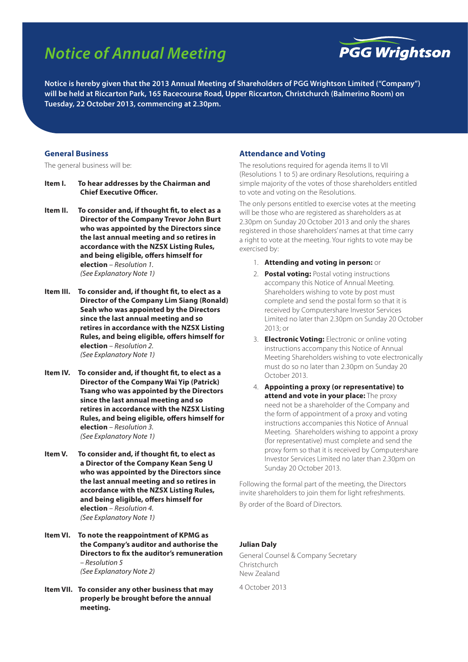# *Notice of Annual Meeting*



**Notice is hereby given that the 2013 Annual Meeting of Shareholders of PGG Wrightson Limited ("Company") will be held at Riccarton Park, 165 Racecourse Road, Upper Riccarton, Christchurch (Balmerino Room) on Tuesday, 22 October 2013, commencing at 2.30pm.**

#### **General Business**

The general business will be:

- **Item I. To hear addresses by the Chairman and Chief Executive Officer.**
- **Item II. To consider and, if thought fit, to elect as a Director of the Company Trevor John Burt who was appointed by the Directors since the last annual meeting and so retires in accordance with the NZSX Listing Rules, and being eligible, offers himself for election** *– Resolution 1. (See Explanatory Note 1)*
- **Item III. To consider and, if thought fit, to elect as a Director of the Company Lim Siang (Ronald) Seah who was appointed by the Directors since the last annual meeting and so retires in accordance with the NZSX Listing Rules, and being eligible, offers himself for election** *– Resolution 2. (See Explanatory Note 1)*
- **Item IV. To consider and, if thought fit, to elect as a Director of the Company Wai Yip (Patrick) Tsang who was appointed by the Directors since the last annual meeting and so retires in accordance with the NZSX Listing Rules, and being eligible, offers himself for election** *– Resolution 3. (See Explanatory Note 1)*
- **Item V. To consider and, if thought fit, to elect as a Director of the Company Kean Seng U who was appointed by the Directors since the last annual meeting and so retires in accordance with the NZSX Listing Rules, and being eligible, offers himself for election** *– Resolution 4. (See Explanatory Note 1)*
- **Item VI. To note the reappointment of KPMG as the Company's auditor and authorise the Directors to fix the auditor's remuneration** *– Resolution 5 (See Explanatory Note 2)*
- **Item VII. To consider any other business that may properly be brought before the annual meeting.**

#### **Attendance and Voting**

The resolutions required for agenda items II to VII (Resolutions 1 to 5) are ordinary Resolutions, requiring a simple majority of the votes of those shareholders entitled to vote and voting on the Resolutions.

The only persons entitled to exercise votes at the meeting will be those who are registered as shareholders as at 2.30pm on Sunday 20 October 2013 and only the shares registered in those shareholders' names at that time carry a right to vote at the meeting. Your rights to vote may be exercised by:

- 1. **Attending and voting in person:** or
- 2. **Postal voting:** Postal voting instructions accompany this Notice of Annual Meeting. Shareholders wishing to vote by post must complete and send the postal form so that it is received by Computershare Investor Services Limited no later than 2.30pm on Sunday 20 October 2013; or
- 3. **Electronic Voting:** Electronic or online voting instructions accompany this Notice of Annual Meeting Shareholders wishing to vote electronically must do so no later than 2.30pm on Sunday 20 October 2013.
- 4. **Appointing a proxy (or representative) to attend and vote in your place:** The proxy need not be a shareholder of the Company and the form of appointment of a proxy and voting instructions accompanies this Notice of Annual Meeting. Shareholders wishing to appoint a proxy (for representative) must complete and send the proxy form so that it is received by Computershare Investor Services Limited no later than 2.30pm on Sunday 20 October 2013.

Following the formal part of the meeting, the Directors invite shareholders to join them for light refreshments. By order of the Board of Directors.

#### **Julian Daly**

General Counsel & Company Secretary Christchurch New Zealand

4 October 2013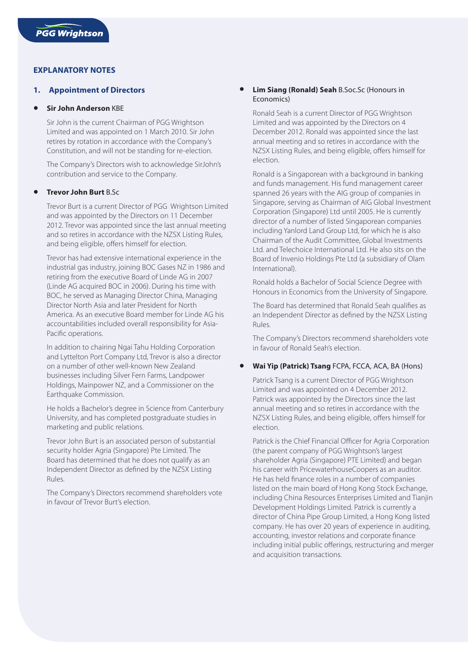# **EXPLANATORY NOTES**

## **1. Appointment of Directors**

#### **Sir John Anderson KBF**

Sir John is the current Chairman of PGG Wrightson Limited and was appointed on 1 March 2010. Sir John retires by rotation in accordance with the Company's Constitution, and will not be standing for re-election.

The Company's Directors wish to acknowledge SirJohn's contribution and service to the Company.

### **• Trevor John Burt** B.Sc

Trevor Burt is a current Director of PGG Wrightson Limited and was appointed by the Directors on 11 December 2012. Trevor was appointed since the last annual meeting and so retires in accordance with the NZSX Listing Rules, and being eligible, offers himself for election.

Trevor has had extensive international experience in the industrial gas industry, joining BOC Gases NZ in 1986 and retiring from the executive Board of Linde AG in 2007 (Linde AG acquired BOC in 2006). During his time with BOC, he served as Managing Director China, Managing Director North Asia and later President for North America. As an executive Board member for Linde AG his accountabilities included overall responsibility for Asia-Pacific operations.

In addition to chairing Ngai Tahu Holding Corporation and Lyttelton Port Company Ltd, Trevor is also a director on a number of other well-known New Zealand businesses including Silver Fern Farms, Landpower Holdings, Mainpower NZ, and a Commissioner on the Earthquake Commission.

He holds a Bachelor's degree in Science from Canterbury University, and has completed postgraduate studies in marketing and public relations.

Trevor John Burt is an associated person of substantial security holder Agria (Singapore) Pte Limited. The Board has determined that he does not qualify as an Independent Director as defined by the NZSX Listing Rules.

The Company's Directors recommend shareholders vote in favour of Trevor Burt's election.

## **Lim Siang (Ronald) Seah B.Soc.Sc (Honours in** Economics)

Ronald Seah is a current Director of PGG Wrightson Limited and was appointed by the Directors on 4 December 2012. Ronald was appointed since the last annual meeting and so retires in accordance with the NZSX Listing Rules, and being eligible, offers himself for election.

Ronald is a Singaporean with a background in banking and funds management. His fund management career spanned 26 years with the AIG group of companies in Singapore, serving as Chairman of AIG Global Investment Corporation (Singapore) Ltd until 2005. He is currently director of a number of listed Singaporean companies including Yanlord Land Group Ltd, for which he is also Chairman of the Audit Committee, Global Investments Ltd. and Telechoice International Ltd. He also sits on the Board of Invenio Holdings Pte Ltd (a subsidiary of Olam International).

Ronald holds a Bachelor of Social Science Degree with Honours in Economics from the University of Singapore.

The Board has determined that Ronald Seah qualifies as an Independent Director as defined by the NZSX Listing Rules.

The Company's Directors recommend shareholders vote in favour of Ronald Seah's election.

## **• Wai Yip (Patrick) Tsang** FCPA, FCCA, ACA, BA (Hons)

Patrick Tsang is a current Director of PGG Wrightson Limited and was appointed on 4 December 2012. Patrick was appointed by the Directors since the last annual meeting and so retires in accordance with the NZSX Listing Rules, and being eligible, offers himself for election.

Patrick is the Chief Financial Officer for Agria Corporation (the parent company of PGG Wrightson's largest shareholder Agria (Singapore) PTE Limited) and began his career with PricewaterhouseCoopers as an auditor. He has held finance roles in a number of companies listed on the main board of Hong Kong Stock Exchange, including China Resources Enterprises Limited and Tianjin Development Holdings Limited. Patrick is currently a director of China Pipe Group Limited, a Hong Kong listed company. He has over 20 years of experience in auditing, accounting, investor relations and corporate finance including initial public offerings, restructuring and merger and acquisition transactions.